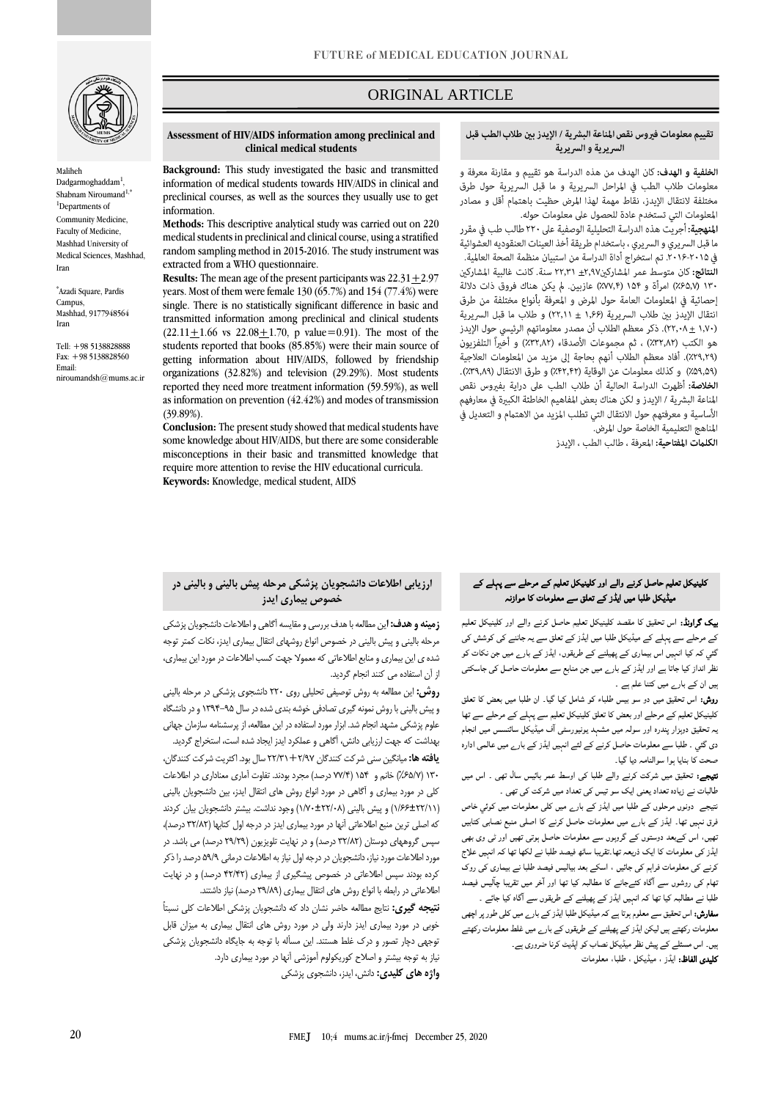

Maliheh Dadgarmoghaddam<sup>1</sup>, Shabnam Niroumand<sup>1,\*</sup> <sup>1</sup>Departments of Community Medicine, Faculty of Medicine, Mashhad University of Medical Sciences, Mashhad, Iran

\* [Azadi Square, Pardis](https://en.um.ac.ir/content/map)  [Campus,](https://en.um.ac.ir/content/map) Mashhad, 9177948564 Iran

Tell: +98 5138828888 Fax: +98 5138828560 Email: [niroumandsh@mums.ac.ir](mailto:niroumandsh@mums.ac.ir)

# ORIGINAL ARTICLE

#### **Assessment of HIV/AIDS information among preclinical and clinical medical students**

**Background:** This study investigated the basic and transmitted information of medical students towards HIV/AIDS in clinical and preclinical courses, as well as the sources they usually use to get information.

**Methods:** This descriptive analytical study was carried out on 220 medical students in preclinical and clinical course, using a stratified random sampling method in 2015-2016. The study instrument was extracted from a WHO questionnaire.

**Results:** The mean age of the present participants was  $22.31 + 2.97$ years. Most of them were female 130 (65.7%) and 154 (77.4%) were single. There is no statistically significant difference in basic and transmitted information among preclinical and clinical students  $(22.11+1.66 \text{ vs } 22.08+1.70, \text{ p value}=0.91)$ . The most of the students reported that books (85.85%) were their main source of getting information about HIV/AIDS, followed by friendship organizations (32.82%) and television (29.29%). Most students reported they need more treatment information (59.59%), as well as information on prevention (42.42%) and modes of transmission (39.89%).

**Conclusion:** The present study showed that medical students have some knowledge about HIV/AIDS, but there are some considerable misconceptions in their basic and transmitted knowledge that require more attention to revise the HIV educational curricula. **Keywords:** Knowledge, medical student, AIDS

## تقييم معلومات فيروس نقص المناعة البشرية / الإيدز بين طلاب الطب قبل السريرية والسريرية

ص

الخلفية و الهدف: كان الهدف من هذه الدراسة هو تقييم و مقارنة معرفة و معلومات طلاب الطب فى المراحل السريرية و ما قبل السريرية حول طرق مختلفة لانتقال الإيدز، نقاط مهمة لهذا المرض حظيت باهتمام أقل و مصادر المعلومات التي تستخدم عادة للحصول على معلومات حوله.

ا**لمنهجية:** أجريت هذه الدراسة التحليلية الوصفية على ٢٢٠ طالب طب في مقرر ما قبل السريري و السريري ، باستخدام طريقة أخذ العينات العنقوديه العشوائية في ٢٠١٥-٢٠١۶. تم استخراج أداة الدراسة من استبيان منظمة الصحة العالمية.

النتائج: كان متوسط عمر المشاركين٢,٩٧ ± ٢٢,٣١ سنة. كانت غالبية المشاركين ۱۳۰ (۶۵٫۷٪) امرأة و ۱۵۴ (۷۷٪۴٪) عازبين. لم يكن هناك فروق ذات دلالة إحصائية في المعلومات العامة حول المرض و المعرفة بأنواع مختلفة من طرق انتقال الإيدز بين طلاب السريرية (١,۶۶ ± ٢٢,١١) و طلاب ما قبل السريرية (٢٢,٠٨ ± ٢٢,٠٨). ذكر معظم الطلاب أن مصدر معلوماتهم الرئيسي حول الإيدز هو الكتب (٣٢,٨٢٪) ، ثم مجموعات الأصدقاء (٣٢,٨٢٪) و أُخْيِراً التلفزيون (٢٩,٢٩٪). أفاد معظم الطلاب أنهم بحاجة إلى مزيد من المعلومات العلاجية (۵۹٫۵۹٪) وكذلك معلومات عن الوقاية (۶۲٫۴۲٪) و طرق الانتقال (۳۹٫۸۹٪). الخلاصة: أظهرت الدراسة الحالية أن طلاب الطب على دراية بفيروس نقص المناعة البشرية / الإيدز و لكن هناك بعض المفاهيم الخاطئة الكبيرة في معارفهم الأساسية و معرفتهم حول الانتقال التي تطلب المزيد من الاهتمام و التعديل في المناهج التعليمية الخاصة حول المرض.

**الكلمات المفتاحية:** المعرفة ، طالب الطب ، الإيدز

## **ارزیابی اطالعات دانشجویان پزشکی مرحله پیش بالینی و بالینی در خصوص بیماری ایدز**

**زمینه و هدف: ا**ین مطالعه با هدف بررسی و مقایسه آگاهی و اطالعات دانشجویان پزشکی مرحله بالینی و پیش بالینی در خصوص انواع روشهای انتقال بیماری ایدز، نکات کمتر توجه شده ی این بیماری و منابع اطالعاتی که معموال جهت کسب اطالعات در مورد این بیماری،

**روش:** این مطالعه به روش توصیفی تحلیلی روی 220 دانشجوی پزشکی در مرحله بالینی و پیش بالینی با روش نمونه گیری تصادفی خوشه بندی شده در سال 1394-95 و در دانشگاه علوم پزشکی مشهد انجام شد. ابزار مورد استفاده در این مطالعه، از پرسشنامه سازمان جهانی بهداشت که جهت ارزیابی دانش، آگاهی و عملکرد ایدز ایجاد شده است، استخراج گردید. **یافته ها:** میانگین سنی شرکت کنندگان 22/31+2/97 سال بود. اکثریت شرکت کنندگان، 130 )%65/7( خانم و 154 )77/4 درصد( مجرد بودند. تفاوت آماری معناداری در اطالعات کلی در مورد بیماری و آگاهی در مورد انواع روش های انتقال ایدز، بین دانشجویان بالینی )1/66±22/11( و پیش بالینی )1/70±22/08( وجود نداشت. بیشتر دانشجویان بیان کردند که اصلی ترین منبع اطالعاتی آنها در مورد بیماری ایدز در درجه اول کتابها )32/82 درصد(، سپس گروههای دوستان (۳۲/۸۲ درصد) و در نهایت تلویزیون (۲۹/۲۹ درصد) می باشد. در مورد اطالعات مورد نیاز، دانشجویان در درجه اول نیاز به اطالعات درمانی 59/9 درصد را ذکر کرده بودند سپس اطلاعاتی در خصوص پیشگیری از بیماری (۴۲/۴۲ درصد) و در نهایت اطالعاتی در رابطه با انواع روش های انتقال بیماری )39/89 درصد( نیاز داشتند. **نتیجه گیری:** نتایج مطالعه حاضر نشان داد که دانشجویان پزشکی اطالعات کلی نسبتاً خوبی در مورد بیماری ایدز دارند ولی در مورد روش های انتقال بیماری به میزان قابل توجهی دچار تصور و درک غلط هستند. این مسأله با توجه به جایگاه دانشجویان پزشکی بیک گراونڈ: اس تحقیق کا مقصد کلینیکل تعلیم حاصل کرنے والے اور کلینیکل تعلیم کے مرحلے سے پہلے کے میڈیکل طلبا میں ایڈز کے تعلق سے یہ جاننے کی کوشش کی گئي کہ کیا انہیں اس بیماری کے پھیلنے کے طریقوں، ایڈز کے بارے میں جن نکات کو نظر انداز کیا جاتا ہے اور ایڈز کے بارے میں جن منابع سے معلومات حاصل کی جاسکتی ہیں ان کے بارے میں کتنا علم ہے ۔

کلینیکل تعلیم حاصل کرنے والے اور کلینیکل تعلیم کے مرحلے سے پہلے کے میڈیکل طلبا میں ایڈز کے تعلق سے معلومات کا موازنہ

روش: اس تحقیق میں دو سو بیس طلباء کو شامل کیا گيا۔ ان طلبا میں بعض کا تعلق کلینیکل تعلیم کے مرحلے اور بعض کا تعلق کلینیکل تعلیم سے پہلے کے مرحلے سے تھا یہ تحقیق دوہزار پندرہ اور سولہ میں مشہد یونیورسٹی ا ف میڈیکل سائنسس میں انجام دی گئي ۔ طلبا سے معلومات حاصل کرنے کے لئے انہیں ایڈز کے بارے میں عالمی ادارہ صحت کا بنایا ہوا سوالنامہ دیا گيا۔

نتیجے: تحقیق میں شرکت کرنے والے طلبا کی اوسط عمر بائيس سال تھی ۔ اس میں طالبات نے زیادہ تعداد یعنی ایک سو تیس کی تعداد میں شرکت کی تھی ۔

نتیجے دونوں مرحلوں کے طلبا میں ایڈز کے بارے میں کلی معلومات میں کوئي خاص فرق نہیں تھا۔ ایڈز کے بارے میں معلومات حاصل کرنے کا اصلی منبع نصابی کتابیں تھیں، اس کےبعد دوستوں کے گروہوں سے معلومات حاصل ہوتی تھیں اور ٹی وی بھی ایڈز کی معلومات کا ایک ذریعہ تھا۔تقریبا ساٹھ فیصد طلبا نے لکھا تھا کہ انہیں علاج کرنے کی معلومات فراہم کی جائيں ، اسکے بعد بیالیس فیصد طلبا نے بیماری کی روک تھام کی روشوں سے ا گاہ کئےجانے کا مطالبہ کیا تھا اور ا خر میں تقریبا چا لیس فیصد طلبا نے مطالبہ کیا تھا کہ انہیں ایڈز کے پھیلنے کے طریقوں سے ا گاہ کیا جائے ۔

**سفارش:** اس تحقیق سے معلوم ہوتا ہے کہ میڈیکل طلبا ایڈز کے بار<sub>ے</sub> میں کلی طور پر اچھی معلومات رکھتے ہیں لیکن ایڈز کے پھیلنے کے طریقوں کے بارے میں غلط معلومات رکھتے ہیں۔ اس مسئلے کے پیش نظر میڈیکل نصاب کو اپڈیٹ کرنا ضروری ہے۔ کلیدی الفاظ: ایڈز ، میڈیکل ، طلبا، معلومات

**واژه های کلیدی:** دانش، ایدز، دانشجوی پزشکی

نیاز به توجه بیشتر و اصالح کوریکولوم آموزشی آنها در مورد بیماری دارد.

از آن استفاده می کنند انجام گردید.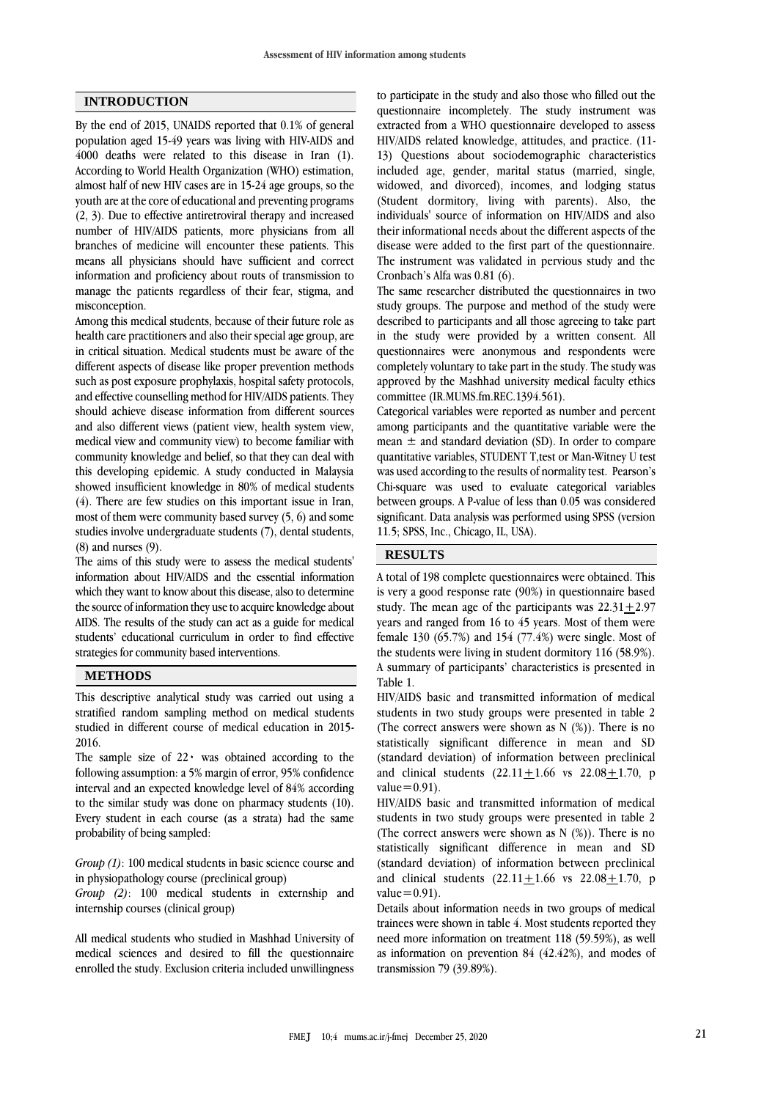### **INTRODUCTION**

By the end of 2015, UNAIDS reported that 0.1% of general population aged 15-49 years was living with HIV-AIDS and 4000 deaths were related to this disease in Iran (1). According to World Health Organization (WHO) estimation, almost half of new HIV cases are in 15-24 age groups, so the youth are at the core of educational and preventing programs (2, 3). Due to effective antiretroviral therapy and increased number of HIV/AIDS patients, more physicians from all branches of medicine will encounter these patients. This means all physicians should have sufficient and correct information and proficiency about routs of transmission to manage the patients regardless of their fear, stigma, and misconception.

Among this medical students, because of their future role as health care practitioners and also their special age group, are in critical situation. Medical students must be aware of the different aspects of disease like proper prevention methods such as post exposure prophylaxis, hospital safety protocols, and effective counselling method for HIV/AIDS patients. They should achieve disease information from different sources and also different views (patient view, health system view, medical view and community view) to become familiar with community knowledge and belief, so that they can deal with this developing epidemic. A study conducted in Malaysia showed insufficient knowledge in 80% of medical students (4). There are few studies on this important issue in Iran, most of them were community based survey (5, 6) and some studies involve undergraduate students (7), dental students, (8) and nurses (9).

The aims of this study were to assess the medical students' information about HIV/AIDS and the essential information which they want to know about this disease, also to determine the source of information they use to acquire knowledge about AIDS. The results of the study can act as a guide for medical students' educational curriculum in order to find effective strategies for community based interventions.

#### **METHODS**

This descriptive analytical study was carried out using a stratified random sampling method on medical students studied in different course of medical education in 2015- 2016.

The sample size of  $22 \cdot$  was obtained according to the following assumption: a 5% margin of error, 95% confidence interval and an expected knowledge level of 84% according to the similar study was done on pharmacy students (10). Every student in each course (as a strata) had the same probability of being sampled:

*Group (1)*: 100 medical students in basic science course and in physiopathology course (preclinical group)

*Group (2)*: 100 medical students in externship and internship courses (clinical group)

All medical students who studied in Mashhad University of medical sciences and desired to fill the questionnaire enrolled the study. Exclusion criteria included unwillingness to participate in the study and also those who filled out the questionnaire incompletely. The study instrument was extracted from a WHO questionnaire developed to assess HIV/AIDS related knowledge, attitudes, and practice. (11- 13) Questions about sociodemographic characteristics included age, gender, marital status (married, single, widowed, and divorced), incomes, and lodging status (Student dormitory, living with parents). Also, the individuals' source of information on HIV/AIDS and also their informational needs about the different aspects of the disease were added to the first part of the questionnaire. The instrument was validated in pervious study and the Cronbach's Alfa was 0.81 (6).

The same researcher distributed the questionnaires in two study groups. The purpose and method of the study were described to participants and all those agreeing to take part in the study were provided by a written consent. All questionnaires were anonymous and respondents were completely voluntary to take part in the study. The study was approved by the Mashhad university medical faculty ethics committee (IR.MUMS.fm.REC.1394.561).

Categorical variables were reported as number and percent among participants and the quantitative variable were the mean  $\pm$  and standard deviation (SD). In order to compare quantitative variables, STUDENT T,test or Man-Witney U test was used according to the results of normality test. Pearson's Chi-square was used to evaluate categorical variables between groups. A P-value of less than 0.05 was considered significant. Data analysis was performed using SPSS (version 11.5; SPSS, Inc., Chicago, IL, USA).

### **RESULTS**

A total of 198 complete questionnaires were obtained. This is very a good response rate (90%) in questionnaire based study. The mean age of the participants was  $22.31 + 2.97$ years and ranged from 16 to 45 years. Most of them were female 130 (65.7%) and 154 (77.4%) were single. Most of the students were living in student dormitory 116 (58.9%). A summary of participants' characteristics is presented in Table 1.

HIV/AIDS basic and transmitted information of medical students in two study groups were presented in table 2 (The correct answers were shown as  $N$  (%)). There is no statistically significant difference in mean and SD (standard deviation) of information between preclinical and clinical students  $(22.11 + 1.66$  vs  $22.08 + 1.70$ , p value $=0.91$ ).

HIV/AIDS basic and transmitted information of medical students in two study groups were presented in table 2 (The correct answers were shown as  $N$  (%)). There is no statistically significant difference in mean and SD (standard deviation) of information between preclinical and clinical students  $(22.11 + 1.66$  vs  $22.08 + 1.70$ , p value $=0.91$ ).

Details about information needs in two groups of medical trainees were shown in table 4. Most students reported they need more information on treatment 118 (59.59%), as well as information on prevention 84 (42.42%), and modes of transmission 79 (39.89%).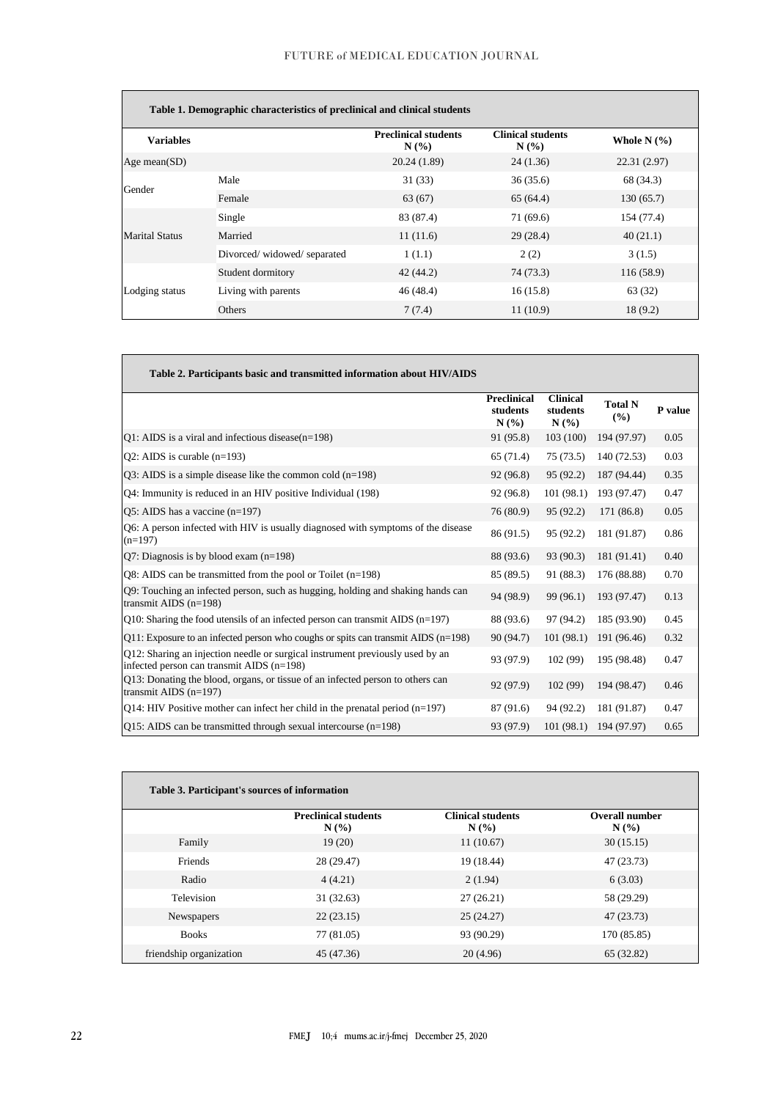|                       | Table 1. Demographic characteristics of preclinical and clinical students |                                    |                                 |                 |
|-----------------------|---------------------------------------------------------------------------|------------------------------------|---------------------------------|-----------------|
| <b>Variables</b>      |                                                                           | <b>Preclinical students</b><br>N(% | <b>Clinical students</b><br>N(% | Whole N $(\% )$ |
| Age mean $(SD)$       |                                                                           | 20.24 (1.89)                       | 24(1.36)                        | 22.31 (2.97)    |
| Gender                | Male                                                                      | 31(33)                             | 36(35.6)                        | 68 (34.3)       |
|                       | Female                                                                    | 63(67)                             | 65(64.4)                        | 130(65.7)       |
|                       | Single                                                                    | 83 (87.4)                          | 71 (69.6)                       | 154 (77.4)      |
| <b>Marital Status</b> | Married                                                                   | 11(11.6)                           | 29(28.4)                        | 40(21.1)        |
|                       | Divorced/widowed/separated                                                | 1(1.1)                             | 2(2)                            | 3(1.5)          |
| Lodging status        | Student dormitory                                                         | 42(44.2)                           | 74 (73.3)                       | 116 (58.9)      |
|                       | Living with parents                                                       | 46(48.4)                           | 16(15.8)                        | 63 (32)         |
|                       | Others                                                                    | 7(7.4)                             | 11(10.9)                        | 18(9.2)         |

| Table 2. Participants basic and transmitted information about HIV/AIDS                                                     |                                        |                                     |                       |         |
|----------------------------------------------------------------------------------------------------------------------------|----------------------------------------|-------------------------------------|-----------------------|---------|
|                                                                                                                            | <b>Preclinical</b><br>students<br>N(%) | <b>Clinical</b><br>students<br>N(%) | <b>Total N</b><br>(%) | P value |
| Q1: AIDS is a viral and infectious disease $(n=198)$                                                                       | 91 (95.8)                              | 103(100)                            | 194 (97.97)           | 0.05    |
| Q2: AIDS is curable $(n=193)$                                                                                              | 65(71.4)                               | 75(73.5)                            | 140 (72.53)           | 0.03    |
| $Q3$ : AIDS is a simple disease like the common cold (n=198)                                                               | 92 (96.8)                              | 95(92.2)                            | 187 (94.44)           | 0.35    |
| Q4: Immunity is reduced in an HIV positive Individual (198)                                                                | 92 (96.8)                              | 101(98.1)                           | 193 (97.47)           | 0.47    |
| $O5$ : AIDS has a vaccine (n=197)                                                                                          | 76 (80.9)                              | 95 (92.2)                           | 171 (86.8)            | 0.05    |
| Q6: A person infected with HIV is usually diagnosed with symptoms of the disease<br>$(n=197)$                              | 86 (91.5)                              | 95 (92.2)                           | 181 (91.87)           | 0.86    |
| Q7: Diagnosis is by blood exam $(n=198)$                                                                                   | 88 (93.6)                              | 93 (90.3)                           | 181 (91.41)           | 0.40    |
| $Q8$ : AIDS can be transmitted from the pool or Toilet (n=198)                                                             | 85 (89.5)                              | 91 (88.3)                           | 176 (88.88)           | 0.70    |
| Q9: Touching an infected person, such as hugging, holding and shaking hands can<br>transmit AIDS $(n=198)$                 | 94 (98.9)                              | 99 (96.1)                           | 193 (97.47)           | 0.13    |
| Q10: Sharing the food utensils of an infected person can transmit AIDS $(n=197)$                                           | 88 (93.6)                              | 97 (94.2)                           | 185 (93.90)           | 0.45    |
| $Q11$ : Exposure to an infected person who coughs or spits can transmit AIDS ( $n=198$ )                                   | 90 (94.7)                              | 101(98.1)                           | 191 (96.46)           | 0.32    |
| Q12: Sharing an injection needle or surgical instrument previously used by an<br>infected person can transmit AIDS (n=198) | 93 (97.9)                              | 102 (99)                            | 195 (98.48)           | 0.47    |
| Q13: Donating the blood, organs, or tissue of an infected person to others can<br>transmit AIDS $(n=197)$                  | 92 (97.9)                              | 102(99)                             | 194 (98.47)           | 0.46    |
| $Q14$ : HIV Positive mother can infect her child in the prenatal period (n=197)                                            | 87 (91.6)                              | 94 (92.2)                           | 181 (91.87)           | 0.47    |
| $Q15$ : AIDS can be transmitted through sexual intercourse (n=198)                                                         | 93 (97.9)                              | 101(98.1)                           | 194 (97.97)           | 0.65    |

| Table 3. Participant's sources of information |                                    |                                  |                              |
|-----------------------------------------------|------------------------------------|----------------------------------|------------------------------|
|                                               | <b>Preclinical students</b><br>N(% | <b>Clinical students</b><br>N(%) | <b>Overall number</b><br>N(% |
| Family                                        | 19(20)                             | 11(10.67)                        | 30(15.15)                    |
| Friends                                       | 28 (29.47)                         | 19 (18.44)                       | 47 (23.73)                   |
| Radio                                         | 4(4.21)                            | 2(1.94)                          | 6(3.03)                      |
| Television                                    | 31(32.63)                          | 27(26.21)                        | 58 (29.29)                   |
| Newspapers                                    | 22(23.15)                          | 25(24.27)                        | 47 (23.73)                   |
| <b>Books</b>                                  | 77 (81.05)                         | 93 (90.29)                       | 170 (85.85)                  |
| friendship organization                       | 45 (47.36)                         | 20(4.96)                         | 65 (32.82)                   |

 $\mathsf{r}$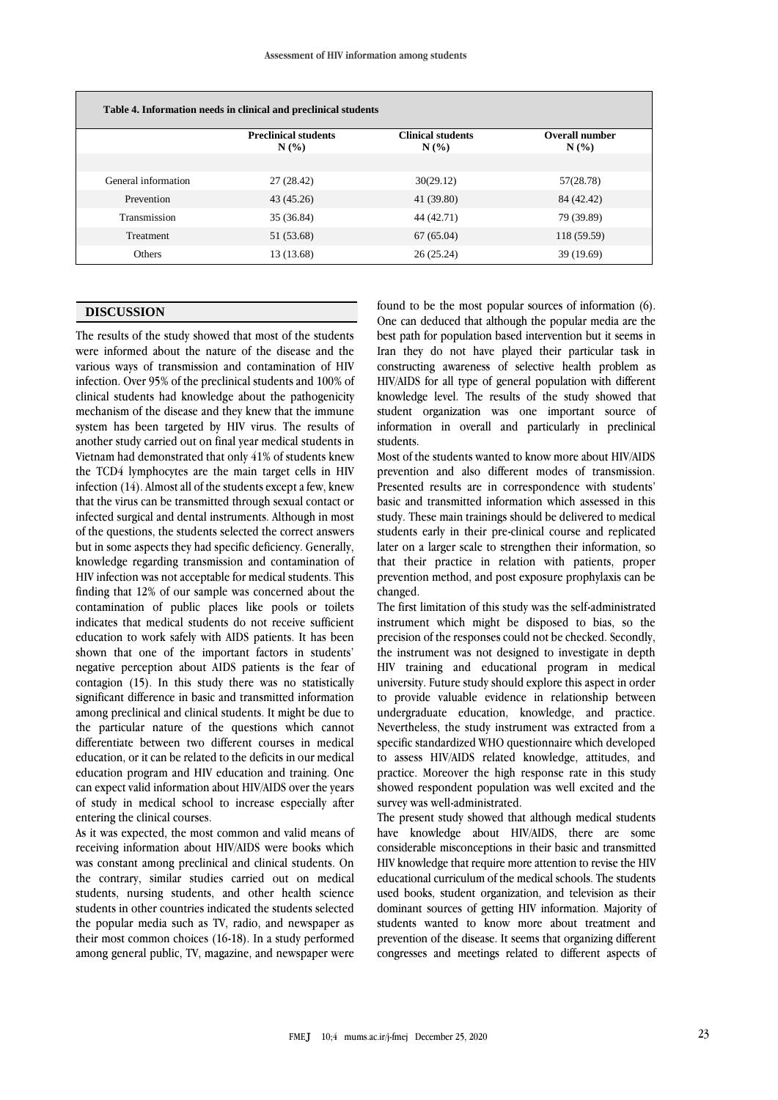| Table 4. Information needs in clinical and preclinical students |                                    |                                     |                              |  |  |
|-----------------------------------------------------------------|------------------------------------|-------------------------------------|------------------------------|--|--|
|                                                                 | <b>Preclinical students</b><br>N(% | <b>Clinical students</b><br>$N(\%)$ | <b>Overall number</b><br>N(% |  |  |
| General information                                             | 27 (28.42)                         | 30(29.12)                           | 57(28.78)                    |  |  |
| Prevention                                                      | 43 (45.26)                         | 41 (39.80)                          | 84 (42.42)                   |  |  |
| Transmission                                                    | 35 (36.84)                         | 44 (42.71)                          | 79 (39.89)                   |  |  |
| Treatment                                                       | 51 (53.68)                         | 67(65.04)                           | 118 (59.59)                  |  |  |
| <b>Others</b>                                                   | 13 (13.68)                         | 26(25.24)                           | 39 (19.69)                   |  |  |

### **DISCUSSION**

The results of the study showed that most of the students were informed about the nature of the disease and the various ways of transmission and contamination of HIV infection. Over 95% of the preclinical students and 100% of clinical students had knowledge about the pathogenicity mechanism of the disease and they knew that the immune system has been targeted by HIV virus. The results of another study carried out on final year medical students in Vietnam had demonstrated that only 41% of students knew the TCD4 lymphocytes are the main target cells in HIV infection (14). Almost all of the students except a few, knew that the virus can be transmitted through sexual contact or infected surgical and dental instruments. Although in most of the questions, the students selected the correct answers but in some aspects they had specific deficiency. Generally, knowledge regarding transmission and contamination of HIV infection was not acceptable for medical students. This finding that 12% of our sample was concerned about the contamination of public places like pools or toilets indicates that medical students do not receive sufficient education to work safely with AIDS patients. It has been shown that one of the important factors in students' negative perception about AIDS patients is the fear of contagion (15). In this study there was no statistically significant difference in basic and transmitted information among preclinical and clinical students. It might be due to the particular nature of the questions which cannot differentiate between two different courses in medical education, or it can be related to the deficits in our medical education program and HIV education and training. One can expect valid information about HIV/AIDS over the years of study in medical school to increase especially after entering the clinical courses.

As it was expected, the most common and valid means of receiving information about HIV/AIDS were books which was constant among preclinical and clinical students. On the contrary, similar studies carried out on medical students, nursing students, and other health science students in other countries indicated the students selected the popular media such as TV, radio, and newspaper as their most common choices (16-18). In a study performed among general public, TV, magazine, and newspaper were found to be the most popular sources of information (6). One can deduced that although the popular media are the best path for population based intervention but it seems in Iran they do not have played their particular task in constructing awareness of selective health problem as HIV/AIDS for all type of general population with different knowledge level. The results of the study showed that student organization was one important source of information in overall and particularly in preclinical students.

Most of the students wanted to know more about HIV/AIDS prevention and also different modes of transmission. Presented results are in correspondence with students' basic and transmitted information which assessed in this study. These main trainings should be delivered to medical students early in their pre-clinical course and replicated later on a larger scale to strengthen their information, so that their practice in relation with patients, proper prevention method, and post exposure prophylaxis can be changed.

The first limitation of this study was the self-administrated instrument which might be disposed to bias, so the precision of the responses could not be checked. Secondly, the instrument was not designed to investigate in depth HIV training and educational program in medical university. Future study should explore this aspect in order to provide valuable evidence in relationship between undergraduate education, knowledge, and practice. Nevertheless, the study instrument was extracted from a specific standardized WHO questionnaire which developed to assess HIV/AIDS related knowledge, attitudes, and practice. Moreover the high response rate in this study showed respondent population was well excited and the survey was well-administrated.

The present study showed that although medical students have knowledge about HIV/AIDS, there are some considerable misconceptions in their basic and transmitted HIV knowledge that require more attention to revise the HIV educational curriculum of the medical schools. The students used books, student organization, and television as their dominant sources of getting HIV information. Majority of students wanted to know more about treatment and prevention of the disease. It seems that organizing different congresses and meetings related to different aspects of